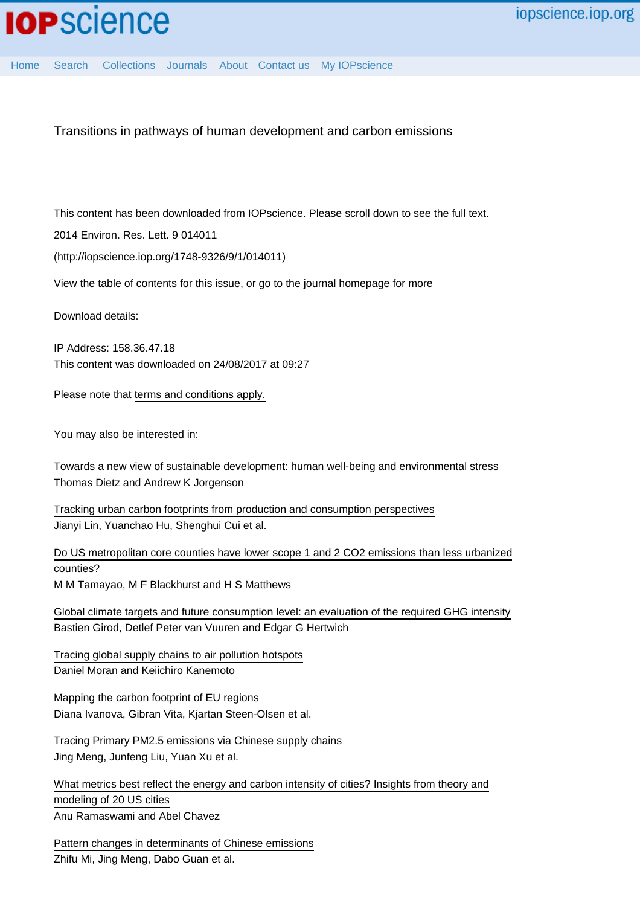[Home](http://iopscience.iop.org/) [Search](http://iopscience.iop.org/search) [Collections](http://iopscience.iop.org/collections) [Journals](http://iopscience.iop.org/journals) [About](http://iopscience.iop.org/page/aboutioppublishing) [Contact us](http://iopscience.iop.org/contact) [My IOPscience](http://iopscience.iop.org/myiopscience)

Transitions in pathways of human development and carbon emissions

This content has been downloaded from IOPscience. Please scroll down to see the full text.

2014 Environ. Res. Lett. 9 014011

(http://iopscience.iop.org/1748-9326/9/1/014011)

View [the table of contents for this issue](http://iopscience.iop.org/1748-9326/9/1), or go to the [journal homepage](http://iopscience.iop.org/1748-9326) for more

Download details:

IP Address: 158.36.47.18 This content was downloaded on 24/08/2017 at 09:27

Please note that [terms and conditions apply.](http://iopscience.iop.org/page/terms)

You may also be interested in:

[Towards a new view of sustainable development: human well-being and environmental stress](http://iopscience.iop.org/article/10.1088/1748-9326/9/3/031001) Thomas Dietz and Andrew K Jorgenson

[Tracking urban carbon footprints from production and consumption perspectives](http://iopscience.iop.org/article/10.1088/1748-9326/10/5/054001) Jianyi Lin, Yuanchao Hu, Shenghui Cui et al.

[Do US metropolitan core counties have lower scope 1 and 2 CO2 emissions than less urbanized](http://iopscience.iop.org/article/10.1088/1748-9326/9/10/104011) [counties?](http://iopscience.iop.org/article/10.1088/1748-9326/9/10/104011) M M Tamayao, M F Blackhurst and H S Matthews

[Global climate targets and future consumption level: an evaluation of the required GHG intensity](http://iopscience.iop.org/article/10.1088/1748-9326/8/1/014016) Bastien Girod, Detlef Peter van Vuuren and Edgar G Hertwich

[Tracing global supply chains to air pollution hotspots](http://iopscience.iop.org/article/10.1088/1748-9326/11/9/094017) Daniel Moran and Keiichiro Kanemoto

[Mapping the carbon footprint of EU regions](http://iopscience.iop.org/article/10.1088/1748-9326/aa6da9) Diana Ivanova, Gibran Vita, Kjartan Steen-Olsen et al.

[Tracing Primary PM2.5 emissions via Chinese supply chains](http://iopscience.iop.org/article/10.1088/1748-9326/10/5/054005) Jing Meng, Junfeng Liu, Yuan Xu et al.

[What metrics best reflect the energy and carbon intensity of cities? Insights from theory and](http://iopscience.iop.org/article/10.1088/1748-9326/8/3/035011) [modeling of 20 US cities](http://iopscience.iop.org/article/10.1088/1748-9326/8/3/035011) Anu Ramaswami and Abel Chavez

[Pattern changes in determinants of Chinese emissions](http://iopscience.iop.org/article/10.1088/1748-9326/aa69cf) Zhifu Mi, Jing Meng, Dabo Guan et al.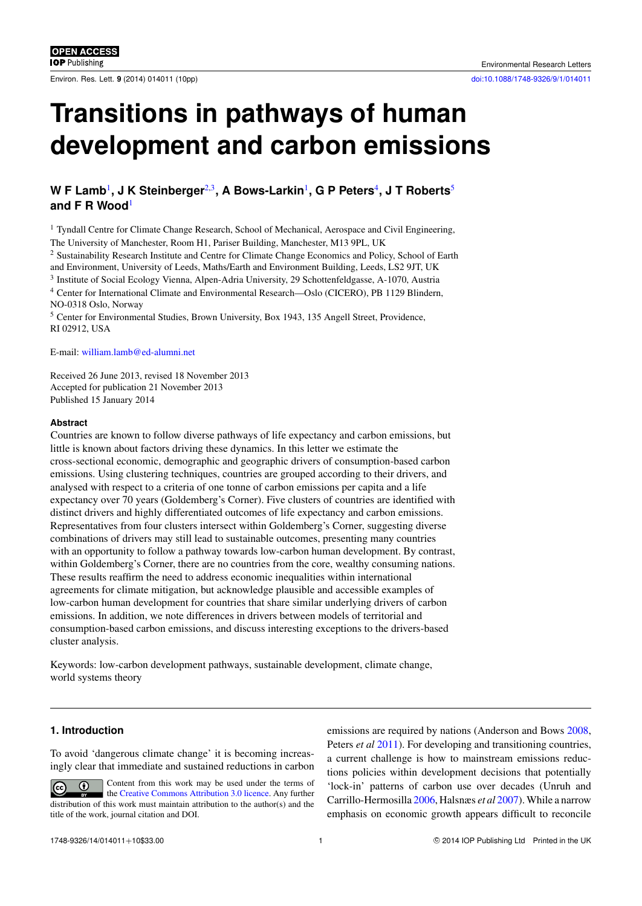# **Transitions in pathways of human development and carbon emissions**

## W F Lamb<sup>[1](#page-1-0)</sup>, J K Steinberger<sup>[2,](#page-1-1)[3](#page-1-2)</sup>, A Bows-Larkin<sup>1</sup>, G P Peters<sup>[4](#page-1-3)</sup>, J T Roberts<sup>[5](#page-1-4)</sup> **and F R Wood**[1](#page-1-0)

<span id="page-1-0"></span><sup>1</sup> Tyndall Centre for Climate Change Research, School of Mechanical, Aerospace and Civil Engineering, The University of Manchester, Room H1, Pariser Building, Manchester, M13 9PL, UK

<span id="page-1-1"></span><sup>2</sup> Sustainability Research Institute and Centre for Climate Change Economics and Policy, School of Earth and Environment, University of Leeds, Maths/Earth and Environment Building, Leeds, LS2 9JT, UK

<span id="page-1-2"></span><sup>3</sup> Institute of Social Ecology Vienna, Alpen-Adria University, 29 Schottenfeldgasse, A-1070, Austria

<span id="page-1-3"></span><sup>4</sup> Center for International Climate and Environmental Research—Oslo (CICERO), PB 1129 Blindern, NO-0318 Oslo, Norway

<span id="page-1-4"></span><sup>5</sup> Center for Environmental Studies, Brown University, Box 1943, 135 Angell Street, Providence, RI 02912, USA

E-mail: [william.lamb@ed-alumni.net](mailto:william.lamb@ed-alumni.net)

Received 26 June 2013, revised 18 November 2013 Accepted for publication 21 November 2013 Published 15 January 2014

## **Abstract**

Countries are known to follow diverse pathways of life expectancy and carbon emissions, but little is known about factors driving these dynamics. In this letter we estimate the cross-sectional economic, demographic and geographic drivers of consumption-based carbon emissions. Using clustering techniques, countries are grouped according to their drivers, and analysed with respect to a criteria of one tonne of carbon emissions per capita and a life expectancy over 70 years (Goldemberg's Corner). Five clusters of countries are identified with distinct drivers and highly differentiated outcomes of life expectancy and carbon emissions. Representatives from four clusters intersect within Goldemberg's Corner, suggesting diverse combinations of drivers may still lead to sustainable outcomes, presenting many countries with an opportunity to follow a pathway towards low-carbon human development. By contrast, within Goldemberg's Corner, there are no countries from the core, wealthy consuming nations. These results reaffirm the need to address economic inequalities within international agreements for climate mitigation, but acknowledge plausible and accessible examples of low-carbon human development for countries that share similar underlying drivers of carbon emissions. In addition, we note differences in drivers between models of territorial and consumption-based carbon emissions, and discuss interesting exceptions to the drivers-based cluster analysis.

Keywords: low-carbon development pathways, sustainable development, climate change, world systems theory

## **1. Introduction**

To avoid 'dangerous climate change' it is becoming increasingly clear that immediate and sustained reductions in carbon

Content from this work may be used under the terms of  $\left( \cdot \right)$ the [Creative Commons Attribution 3.0 licence.](http://creativecommons.org/licenses/by/3.0) Any further distribution of this work must maintain attribution to the author(s) and the title of the work, journal citation and DOI.

emissions are required by nations (Anderson and Bows [2008,](#page-9-0) Peters *et al* [2011\)](#page-10-0). For developing and transitioning countries, a current challenge is how to mainstream emissions reductions policies within development decisions that potentially 'lock-in' patterns of carbon use over decades (Unruh and Carrillo-Hermosilla [2006,](#page-10-1) Halsnæs *et al* [2007\)](#page-9-1). While a narrow emphasis on economic growth appears difficult to reconcile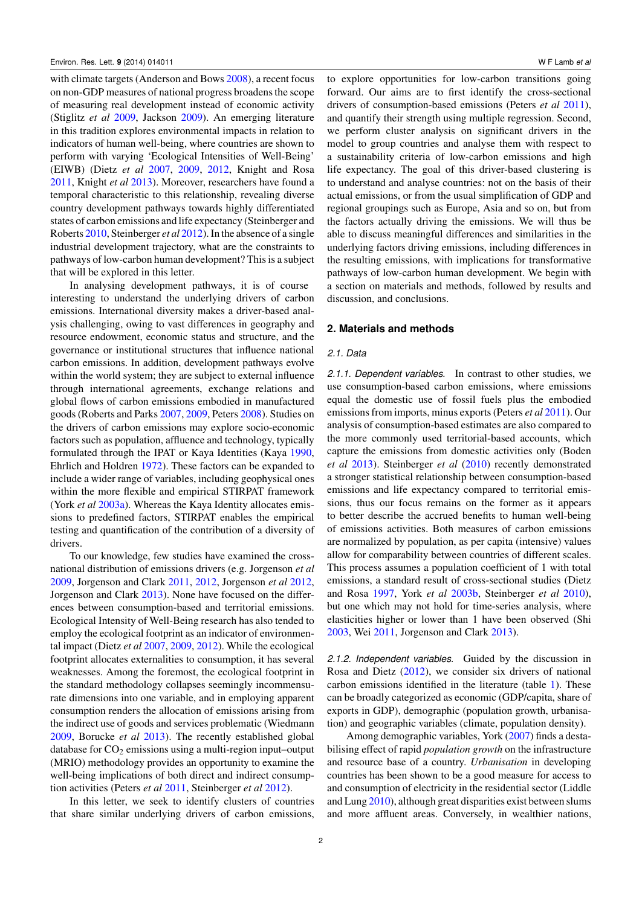with climate targets (Anderson and Bows [2008\)](#page-9-0), a recent focus on non-GDP measures of national progress broadens the scope of measuring real development instead of economic activity (Stiglitz *et al* [2009,](#page-10-2) Jackson [2009\)](#page-9-2). An emerging literature in this tradition explores environmental impacts in relation to indicators of human well-being, where countries are shown to perform with varying 'Ecological Intensities of Well-Being' (EIWB) (Dietz *et al* [2007,](#page-9-3) [2009,](#page-9-4) [2012,](#page-9-5) Knight and Rosa [2011,](#page-9-6) Knight *et al* [2013\)](#page-9-7). Moreover, researchers have found a temporal characteristic to this relationship, revealing diverse country development pathways towards highly differentiated states of carbon emissions and life expectancy (Steinberger and Roberts [2010,](#page-10-3) Steinberger *et al* [2012\)](#page-10-4). In the absence of a single industrial development trajectory, what are the constraints to pathways of low-carbon human development? This is a subject that will be explored in this letter.

In analysing development pathways, it is of course interesting to understand the underlying drivers of carbon emissions. International diversity makes a driver-based analysis challenging, owing to vast differences in geography and resource endowment, economic status and structure, and the governance or institutional structures that influence national carbon emissions. In addition, development pathways evolve within the world system; they are subject to external influence through international agreements, exchange relations and global flows of carbon emissions embodied in manufactured goods (Roberts and Parks [2007,](#page-10-5) [2009,](#page-10-6) Peters [2008\)](#page-10-7). Studies on the drivers of carbon emissions may explore socio-economic factors such as population, affluence and technology, typically formulated through the IPAT or Kaya Identities (Kaya [1990,](#page-9-8) Ehrlich and Holdren [1972\)](#page-9-9). These factors can be expanded to include a wider range of variables, including geophysical ones within the more flexible and empirical STIRPAT framework (York *et al* [2003a\)](#page-10-8). Whereas the Kaya Identity allocates emissions to predefined factors, STIRPAT enables the empirical testing and quantification of the contribution of a diversity of drivers.

To our knowledge, few studies have examined the crossnational distribution of emissions drivers (e.g. Jorgenson *et al* [2009,](#page-9-10) Jorgenson and Clark [2011,](#page-9-11) [2012,](#page-9-12) Jorgenson *et al* [2012,](#page-9-13) Jorgenson and Clark [2013\)](#page-9-14). None have focused on the differences between consumption-based and territorial emissions. Ecological Intensity of Well-Being research has also tended to employ the ecological footprint as an indicator of environmental impact (Dietz *et al* [2007,](#page-9-3) [2009,](#page-9-4) [2012\)](#page-9-5). While the ecological footprint allocates externalities to consumption, it has several weaknesses. Among the foremost, the ecological footprint in the standard methodology collapses seemingly incommensurate dimensions into one variable, and in employing apparent consumption renders the allocation of emissions arising from the indirect use of goods and services problematic (Wiedmann [2009,](#page-10-9) Borucke *et al* [2013\)](#page-9-15). The recently established global database for  $CO<sub>2</sub>$  emissions using a multi-region input–output (MRIO) methodology provides an opportunity to examine the well-being implications of both direct and indirect consumption activities (Peters *et al* [2011,](#page-10-0) Steinberger *et al* [2012\)](#page-10-4).

In this letter, we seek to identify clusters of countries that share similar underlying drivers of carbon emissions,

to explore opportunities for low-carbon transitions going forward. Our aims are to first identify the cross-sectional drivers of consumption-based emissions (Peters *et al* [2011\)](#page-10-0), and quantify their strength using multiple regression. Second, we perform cluster analysis on significant drivers in the model to group countries and analyse them with respect to a sustainability criteria of low-carbon emissions and high life expectancy. The goal of this driver-based clustering is to understand and analyse countries: not on the basis of their actual emissions, or from the usual simplification of GDP and regional groupings such as Europe, Asia and so on, but from the factors actually driving the emissions. We will thus be able to discuss meaningful differences and similarities in the underlying factors driving emissions, including differences in the resulting emissions, with implications for transformative pathways of low-carbon human development. We begin with a section on materials and methods, followed by results and discussion, and conclusions.

## **2. Materials and methods**

#### *2.1. Data*

*2.1.1. Dependent variables.* In contrast to other studies, we use consumption-based carbon emissions, where emissions equal the domestic use of fossil fuels plus the embodied emissions from imports, minus exports (Peters *et al* [2011\)](#page-10-0). Our analysis of consumption-based estimates are also compared to the more commonly used territorial-based accounts, which capture the emissions from domestic activities only (Boden *et al* [2013\)](#page-9-16). Steinberger *et al* [\(2010\)](#page-10-10) recently demonstrated a stronger statistical relationship between consumption-based emissions and life expectancy compared to territorial emissions, thus our focus remains on the former as it appears to better describe the accrued benefits to human well-being of emissions activities. Both measures of carbon emissions are normalized by population, as per capita (intensive) values allow for comparability between countries of different scales. This process assumes a population coefficient of 1 with total emissions, a standard result of cross-sectional studies (Dietz and Rosa [1997,](#page-9-17) York *et al* [2003b,](#page-10-11) Steinberger *et al* [2010\)](#page-10-10), but one which may not hold for time-series analysis, where elasticities higher or lower than 1 have been observed (Shi [2003,](#page-10-12) Wei [2011,](#page-10-13) Jorgenson and Clark [2013\)](#page-9-14).

*2.1.2. Independent variables.* Guided by the discussion in Rosa and Dietz [\(2012\)](#page-10-14), we consider six drivers of national carbon emissions identified in the literature (table [1\)](#page-3-0). These can be broadly categorized as economic (GDP/capita, share of exports in GDP), demographic (population growth, urbanisation) and geographic variables (climate, population density).

Among demographic variables, York [\(2007\)](#page-10-15) finds a destabilising effect of rapid *population growth* on the infrastructure and resource base of a country. *Urbanisation* in developing countries has been shown to be a good measure for access to and consumption of electricity in the residential sector (Liddle and Lung [2010\)](#page-10-16), although great disparities exist between slums and more affluent areas. Conversely, in wealthier nations,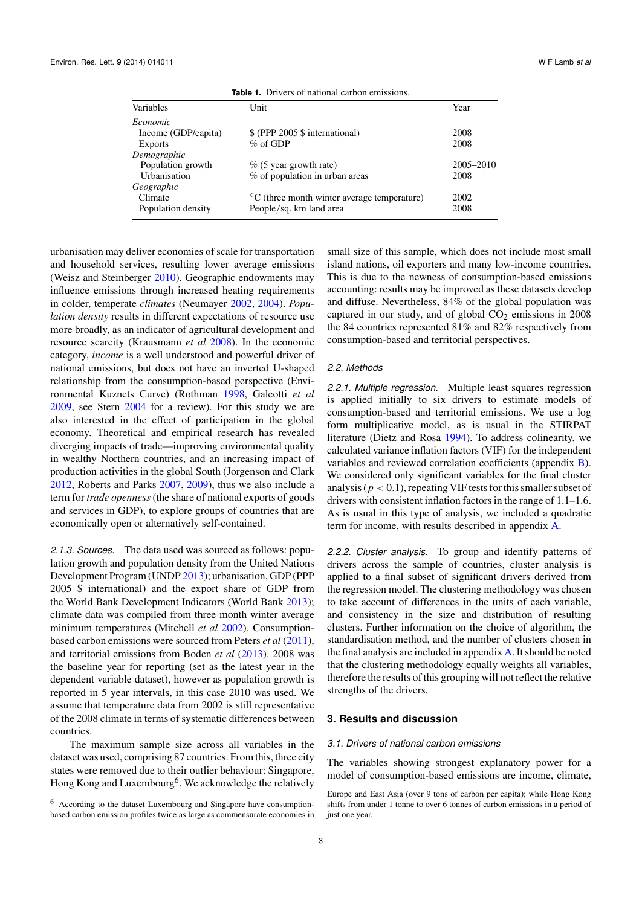<span id="page-3-0"></span>

| Variables           | Unit                                                      | Year      |
|---------------------|-----------------------------------------------------------|-----------|
| <i>Economic</i>     |                                                           |           |
| Income (GDP/capita) | \$ (PPP 2005 \$ international)                            | 2008      |
| <b>Exports</b>      | $\%$ of GDP                                               | 2008      |
| Demographic         |                                                           |           |
| Population growth   | $\%$ (5 year growth rate)                                 | 2005–2010 |
| Urbanisation        | % of population in urban areas                            | 2008      |
| Geographic          |                                                           |           |
| Climate             | $\rm{^{\circ}C}$ (three month winter average temperature) | 2002      |
| Population density  | People/sq. km land area                                   | 2008      |

**Table 1.** Drivers of national carbon emissions.

urbanisation may deliver economies of scale for transportation and household services, resulting lower average emissions (Weisz and Steinberger [2010\)](#page-10-17). Geographic endowments may influence emissions through increased heating requirements in colder, temperate *climates* (Neumayer [2002,](#page-10-18) [2004\)](#page-10-19). *Population density* results in different expectations of resource use more broadly, as an indicator of agricultural development and resource scarcity (Krausmann *et al* [2008\)](#page-10-20). In the economic category, *income* is a well understood and powerful driver of national emissions, but does not have an inverted U-shaped relationship from the consumption-based perspective (Environmental Kuznets Curve) (Rothman [1998,](#page-10-21) Galeotti *et al* [2009,](#page-9-18) see Stern [2004](#page-10-22) for a review). For this study we are also interested in the effect of participation in the global economy. Theoretical and empirical research has revealed diverging impacts of trade—improving environmental quality in wealthy Northern countries, and an increasing impact of production activities in the global South (Jorgenson and Clark [2012,](#page-9-12) Roberts and Parks [2007,](#page-10-5) [2009\)](#page-10-6), thus we also include a term for *trade openness* (the share of national exports of goods and services in GDP), to explore groups of countries that are economically open or alternatively self-contained.

*2.1.3. Sources.* The data used was sourced as follows: population growth and population density from the United Nations Development Program (UNDP [2013\)](#page-10-23); urbanisation, GDP (PPP 2005 \$ international) and the export share of GDP from the World Bank Development Indicators (World Bank [2013\)](#page-10-24); climate data was compiled from three month winter average minimum temperatures (Mitchell *et al* [2002\)](#page-10-25). Consumptionbased carbon emissions were sourced from Peters *et al* [\(2011\)](#page-10-0), and territorial emissions from Boden *et al* [\(2013\)](#page-9-16). 2008 was the baseline year for reporting (set as the latest year in the dependent variable dataset), however as population growth is reported in 5 year intervals, in this case 2010 was used. We assume that temperature data from 2002 is still representative of the 2008 climate in terms of systematic differences between countries.

The maximum sample size across all variables in the dataset was used, comprising 87 countries. From this, three city states were removed due to their outlier behaviour: Singapore, Hong Kong and Luxembourg<sup>6</sup>. We acknowledge the relatively

<sup>6</sup> According to the dataset Luxembourg and Singapore have consumptionbased carbon emission profiles twice as large as commensurate economies in small size of this sample, which does not include most small island nations, oil exporters and many low-income countries. This is due to the newness of consumption-based emissions accounting: results may be improved as these datasets develop and diffuse. Nevertheless, 84% of the global population was captured in our study, and of global  $CO<sub>2</sub>$  emissions in 2008 the 84 countries represented 81% and 82% respectively from consumption-based and territorial perspectives.

#### *2.2. Methods*

*2.2.1. Multiple regression.* Multiple least squares regression is applied initially to six drivers to estimate models of consumption-based and territorial emissions. We use a log form multiplicative model, as is usual in the STIRPAT literature (Dietz and Rosa [1994\)](#page-9-19). To address colinearity, we calculated variance inflation factors (VIF) for the independent variables and reviewed correlation coefficients (appendix [B\)](#page-8-0). We considered only significant variables for the final cluster analysis ( $p < 0.1$ ), repeating VIF tests for this smaller subset of drivers with consistent inflation factors in the range of 1.1–1.6. As is usual in this type of analysis, we included a quadratic term for income, with results described in appendix [A.](#page-7-0)

*2.2.2. Cluster analysis.* To group and identify patterns of drivers across the sample of countries, cluster analysis is applied to a final subset of significant drivers derived from the regression model. The clustering methodology was chosen to take account of differences in the units of each variable, and consistency in the size and distribution of resulting clusters. Further information on the choice of algorithm, the standardisation method, and the number of clusters chosen in the final analysis are included in appendix [A.](#page-7-0) It should be noted that the clustering methodology equally weights all variables, therefore the results of this grouping will not reflect the relative strengths of the drivers.

## **3. Results and discussion**

#### *3.1. Drivers of national carbon emissions*

The variables showing strongest explanatory power for a model of consumption-based emissions are income, climate,

Europe and East Asia (over 9 tons of carbon per capita); while Hong Kong shifts from under 1 tonne to over 6 tonnes of carbon emissions in a period of just one year.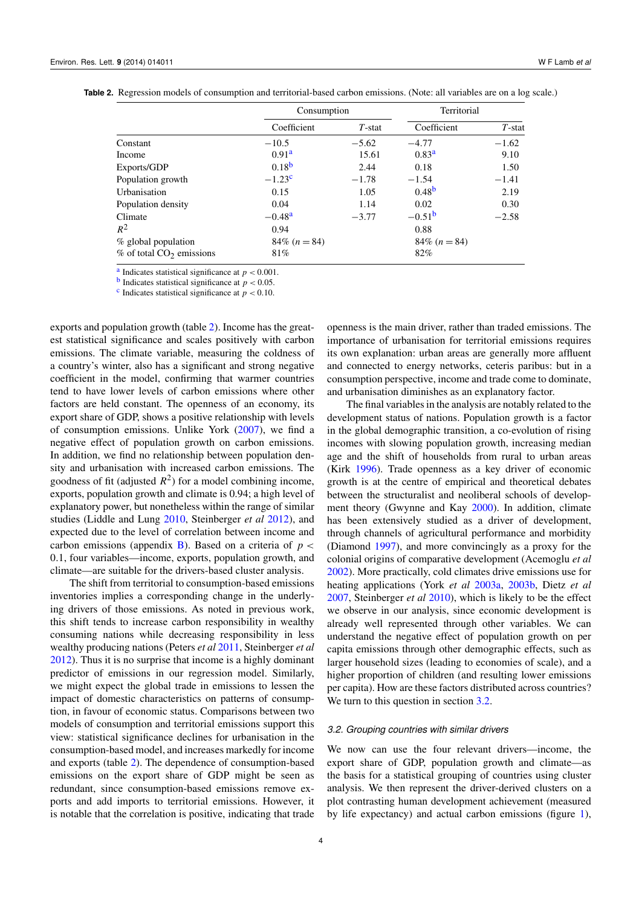|  |  | <b>Table 2.</b> Regression models of consumption and territorial-based carbon emissions. (Note: all variables are on a log scale.) |  |  |
|--|--|------------------------------------------------------------------------------------------------------------------------------------|--|--|
|  |  |                                                                                                                                    |  |  |

<span id="page-4-3"></span>

|                                         | Consumption       |           | Territorial       |           |
|-----------------------------------------|-------------------|-----------|-------------------|-----------|
|                                         | Coefficient       | $T$ -stat | Coefficient       | $T$ -stat |
| Constant                                | $-10.5$           | $-5.62$   | $-4.77$           | $-1.62$   |
| Income                                  | 0.91 <sup>a</sup> | 15.61     | 0.83 <sup>a</sup> | 9.10      |
| Exports/GDP                             | $0.18^{b}$        | 2.44      | 0.18              | 1.50      |
| Population growth                       | $-1.23^{\circ}$   | $-1.78$   | $-1.54$           | $-1.41$   |
| Urbanisation                            | 0.15              | 1.05      | 0.48 <sup>b</sup> | 2.19      |
| Population density                      | 0.04              | 1.14      | 0.02              | 0.30      |
| Climate                                 | $-0.48a$          | $-3.77$   | $-0.51^{b}$       | $-2.58$   |
| $R^2$                                   | 0.94              |           | 0.88              |           |
| $%$ global population                   | 84\% $(n = 84)$   |           | 84\% $(n = 84)$   |           |
| $\%$ of total CO <sub>2</sub> emissions | 81%               |           | 82%               |           |

<sup>[a](#page-4-0)</sup> Indicates statistical significance at  $p < 0.001$ .

**[b](#page-4-1)** Indicates statistical significance at  $p < 0.05$ .

<sup>[c](#page-4-2)</sup> Indicates statistical significance at  $p < 0.10$ .

exports and population growth (table [2\)](#page-4-3). Income has the greatest statistical significance and scales positively with carbon emissions. The climate variable, measuring the coldness of a country's winter, also has a significant and strong negative coefficient in the model, confirming that warmer countries tend to have lower levels of carbon emissions where other factors are held constant. The openness of an economy, its export share of GDP, shows a positive relationship with levels of consumption emissions. Unlike York [\(2007\)](#page-10-15), we find a negative effect of population growth on carbon emissions. In addition, we find no relationship between population density and urbanisation with increased carbon emissions. The goodness of fit (adjusted  $R^2$ ) for a model combining income, exports, population growth and climate is 0.94; a high level of explanatory power, but nonetheless within the range of similar studies (Liddle and Lung [2010,](#page-10-16) Steinberger *et al* [2012\)](#page-10-4), and expected due to the level of correlation between income and carbon emissions (appendix  $\overline{B}$ ). Based on a criteria of  $p <$ 0.1, four variables—income, exports, population growth, and climate—are suitable for the drivers-based cluster analysis.

The shift from territorial to consumption-based emissions inventories implies a corresponding change in the underlying drivers of those emissions. As noted in previous work, this shift tends to increase carbon responsibility in wealthy consuming nations while decreasing responsibility in less wealthy producing nations (Peters *et al* [2011,](#page-10-0) Steinberger *et al* [2012\)](#page-10-4). Thus it is no surprise that income is a highly dominant predictor of emissions in our regression model. Similarly, we might expect the global trade in emissions to lessen the impact of domestic characteristics on patterns of consumption, in favour of economic status. Comparisons between two models of consumption and territorial emissions support this view: statistical significance declines for urbanisation in the consumption-based model, and increases markedly for income and exports (table [2\)](#page-4-3). The dependence of consumption-based emissions on the export share of GDP might be seen as redundant, since consumption-based emissions remove exports and add imports to territorial emissions. However, it is notable that the correlation is positive, indicating that trade

<span id="page-4-2"></span><span id="page-4-1"></span><span id="page-4-0"></span>openness is the main driver, rather than traded emissions. The importance of urbanisation for territorial emissions requires its own explanation: urban areas are generally more affluent and connected to energy networks, ceteris paribus: but in a consumption perspective, income and trade come to dominate, and urbanisation diminishes as an explanatory factor.

The final variables in the analysis are notably related to the development status of nations. Population growth is a factor in the global demographic transition, a co-evolution of rising incomes with slowing population growth, increasing median age and the shift of households from rural to urban areas (Kirk [1996\)](#page-9-20). Trade openness as a key driver of economic growth is at the centre of empirical and theoretical debates between the structuralist and neoliberal schools of development theory (Gwynne and Kay [2000\)](#page-9-21). In addition, climate has been extensively studied as a driver of development, through channels of agricultural performance and morbidity (Diamond [1997\)](#page-9-22), and more convincingly as a proxy for the colonial origins of comparative development (Acemoglu *et al* [2002\)](#page-9-23). More practically, cold climates drive emissions use for heating applications (York *et al* [2003a,](#page-10-8) [2003b,](#page-10-11) Dietz *et al* [2007,](#page-9-3) Steinberger *et al* [2010\)](#page-10-10), which is likely to be the effect we observe in our analysis, since economic development is already well represented through other variables. We can understand the negative effect of population growth on per capita emissions through other demographic effects, such as larger household sizes (leading to economies of scale), and a higher proportion of children (and resulting lower emissions per capita). How are these factors distributed across countries? We turn to this question in section [3.2.](#page-4-4)

#### <span id="page-4-4"></span>*3.2. Grouping countries with similar drivers*

We now can use the four relevant drivers—income, the export share of GDP, population growth and climate—as the basis for a statistical grouping of countries using cluster analysis. We then represent the driver-derived clusters on a plot contrasting human development achievement (measured by life expectancy) and actual carbon emissions (figure [1\)](#page-6-0),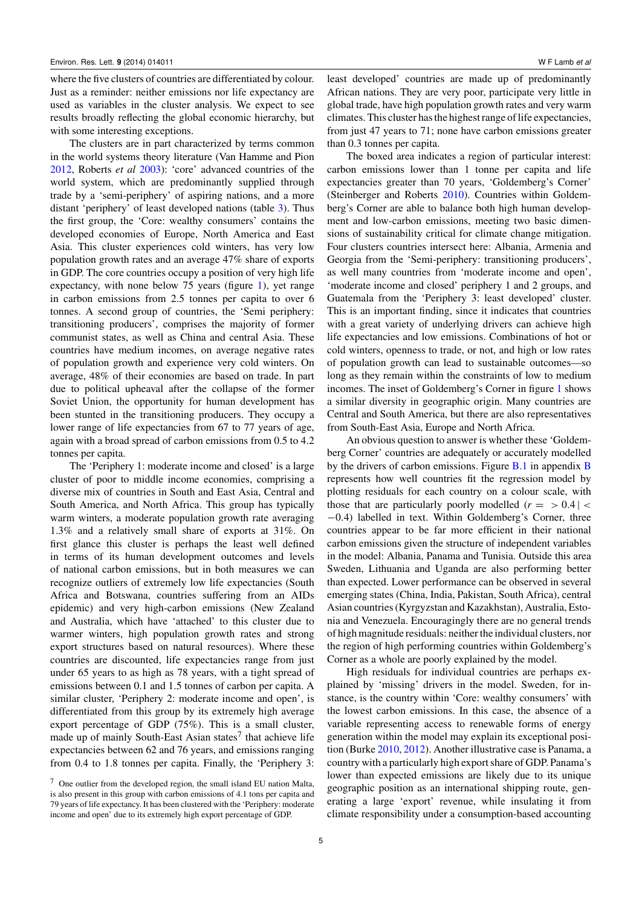where the five clusters of countries are differentiated by colour. Just as a reminder: neither emissions nor life expectancy are used as variables in the cluster analysis. We expect to see results broadly reflecting the global economic hierarchy, but with some interesting exceptions.

The clusters are in part characterized by terms common in the world systems theory literature (Van Hamme and Pion [2012,](#page-10-26) Roberts *et al* [2003\)](#page-10-27): 'core' advanced countries of the world system, which are predominantly supplied through trade by a 'semi-periphery' of aspiring nations, and a more distant 'periphery' of least developed nations (table [3\)](#page-6-1). Thus the first group, the 'Core: wealthy consumers' contains the developed economies of Europe, North America and East Asia. This cluster experiences cold winters, has very low population growth rates and an average 47% share of exports in GDP. The core countries occupy a position of very high life expectancy, with none below 75 years (figure [1\)](#page-6-0), yet range in carbon emissions from 2.5 tonnes per capita to over 6 tonnes. A second group of countries, the 'Semi periphery: transitioning producers', comprises the majority of former communist states, as well as China and central Asia. These countries have medium incomes, on average negative rates of population growth and experience very cold winters. On average, 48% of their economies are based on trade. In part due to political upheaval after the collapse of the former Soviet Union, the opportunity for human development has been stunted in the transitioning producers. They occupy a lower range of life expectancies from 67 to 77 years of age, again with a broad spread of carbon emissions from 0.5 to 4.2 tonnes per capita.

The 'Periphery 1: moderate income and closed' is a large cluster of poor to middle income economies, comprising a diverse mix of countries in South and East Asia, Central and South America, and North Africa. This group has typically warm winters, a moderate population growth rate averaging 1.3% and a relatively small share of exports at 31%. On first glance this cluster is perhaps the least well defined in terms of its human development outcomes and levels of national carbon emissions, but in both measures we can recognize outliers of extremely low life expectancies (South Africa and Botswana, countries suffering from an AIDs epidemic) and very high-carbon emissions (New Zealand and Australia, which have 'attached' to this cluster due to warmer winters, high population growth rates and strong export structures based on natural resources). Where these countries are discounted, life expectancies range from just under 65 years to as high as 78 years, with a tight spread of emissions between 0.1 and 1.5 tonnes of carbon per capita. A similar cluster, 'Periphery 2: moderate income and open', is differentiated from this group by its extremely high average export percentage of GDP (75%). This is a small cluster, made up of mainly South-East Asian states<sup>7</sup> that achieve life expectancies between 62 and 76 years, and emissions ranging from 0.4 to 1.8 tonnes per capita. Finally, the 'Periphery 3:

least developed' countries are made up of predominantly African nations. They are very poor, participate very little in global trade, have high population growth rates and very warm climates. This cluster has the highest range of life expectancies, from just 47 years to 71; none have carbon emissions greater than 0.3 tonnes per capita.

The boxed area indicates a region of particular interest: carbon emissions lower than 1 tonne per capita and life expectancies greater than 70 years, 'Goldemberg's Corner' (Steinberger and Roberts [2010\)](#page-10-3). Countries within Goldemberg's Corner are able to balance both high human development and low-carbon emissions, meeting two basic dimensions of sustainability critical for climate change mitigation. Four clusters countries intersect here: Albania, Armenia and Georgia from the 'Semi-periphery: transitioning producers', as well many countries from 'moderate income and open', 'moderate income and closed' periphery 1 and 2 groups, and Guatemala from the 'Periphery 3: least developed' cluster. This is an important finding, since it indicates that countries with a great variety of underlying drivers can achieve high life expectancies and low emissions. Combinations of hot or cold winters, openness to trade, or not, and high or low rates of population growth can lead to sustainable outcomes—so long as they remain within the constraints of low to medium incomes. The inset of Goldemberg's Corner in figure [1](#page-6-0) shows a similar diversity in geographic origin. Many countries are Central and South America, but there are also representatives from South-East Asia, Europe and North Africa.

An obvious question to answer is whether these 'Goldemberg Corner' countries are adequately or accurately modelled by the drivers of carbon emissions. Figure [B.1](#page-7-1) in appendix [B](#page-8-0) represents how well countries fit the regression model by plotting residuals for each country on a colour scale, with those that are particularly poorly modelled  $(r = > 0.4$  | < −0.4) labelled in text. Within Goldemberg's Corner, three countries appear to be far more efficient in their national carbon emissions given the structure of independent variables in the model: Albania, Panama and Tunisia. Outside this area Sweden, Lithuania and Uganda are also performing better than expected. Lower performance can be observed in several emerging states (China, India, Pakistan, South Africa), central Asian countries (Kyrgyzstan and Kazakhstan), Australia, Estonia and Venezuela. Encouragingly there are no general trends of high magnitude residuals: neither the individual clusters, nor the region of high performing countries within Goldemberg's Corner as a whole are poorly explained by the model.

High residuals for individual countries are perhaps explained by 'missing' drivers in the model. Sweden, for instance, is the country within 'Core: wealthy consumers' with the lowest carbon emissions. In this case, the absence of a variable representing access to renewable forms of energy generation within the model may explain its exceptional position (Burke [2010,](#page-9-24) [2012\)](#page-9-25). Another illustrative case is Panama, a country with a particularly high export share of GDP. Panama's lower than expected emissions are likely due to its unique geographic position as an international shipping route, generating a large 'export' revenue, while insulating it from climate responsibility under a consumption-based accounting

 $7$  One outlier from the developed region, the small island EU nation Malta, is also present in this group with carbon emissions of 4.1 tons per capita and 79 years of life expectancy. It has been clustered with the 'Periphery: moderate income and open' due to its extremely high export percentage of GDP.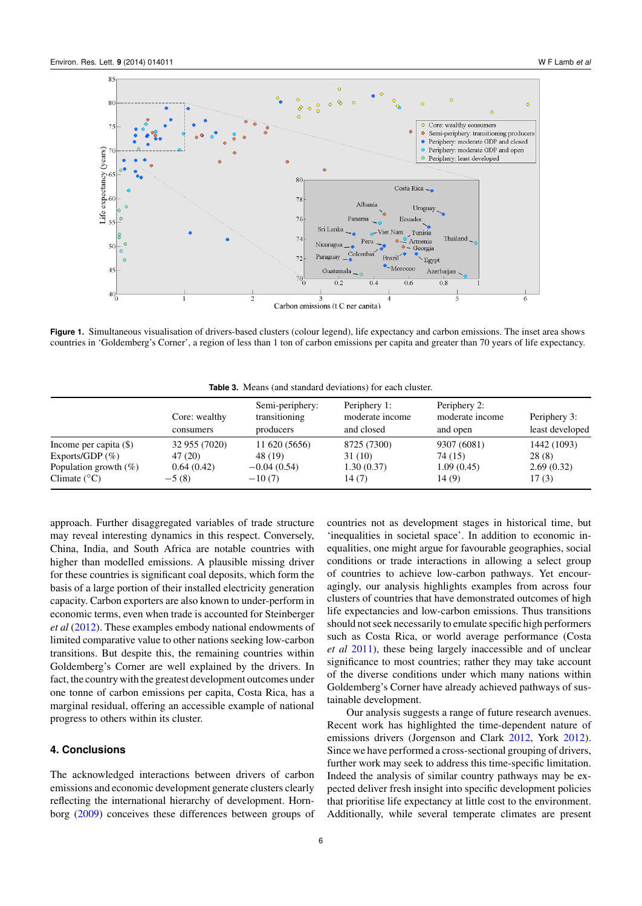<span id="page-6-0"></span>

<span id="page-6-1"></span>**Figure 1.** Simultaneous visualisation of drivers-based clusters (colour legend), life expectancy and carbon emissions. The inset area shows countries in 'Goldemberg's Corner', a region of less than 1 ton of carbon emissions per capita and greater than 70 years of life expectancy.

**Table 3.** Means (and standard deviations) for each cluster.

|                          | Core: wealthy | Semi-periphery:<br>transitioning | Periphery 1:<br>moderate income | Periphery 2:<br>moderate income | Periphery 3:    |  |
|--------------------------|---------------|----------------------------------|---------------------------------|---------------------------------|-----------------|--|
|                          | consumers     | producers                        | and closed                      | and open                        | least developed |  |
| Income per capita $(\$)$ | 32 955 (7020) | 11 620 (5656)                    | 8725 (7300)                     | 9307 (6081)                     | 1442 (1093)     |  |
| Exports/GDP $(\%)$       | 47 (20)       | 48 (19)                          | 31 (10)                         | 74 (15)                         | 28(8)           |  |
| Population growth $(\%)$ | 0.64(0.42)    | $-0.04(0.54)$                    | 1.30(0.37)                      | 1.09(0.45)                      | 2.69(0.32)      |  |
| Climate $(^{\circ}C)$    | $-5(8)$       | $-10(7)$                         | 14(7)                           | 14(9)                           | 17(3)           |  |

approach. Further disaggregated variables of trade structure may reveal interesting dynamics in this respect. Conversely, China, India, and South Africa are notable countries with higher than modelled emissions. A plausible missing driver for these countries is significant coal deposits, which form the basis of a large portion of their installed electricity generation capacity. Carbon exporters are also known to under-perform in economic terms, even when trade is accounted for Steinberger *et al* [\(2012\)](#page-10-4). These examples embody national endowments of limited comparative value to other nations seeking low-carbon transitions. But despite this, the remaining countries within Goldemberg's Corner are well explained by the drivers. In fact, the country with the greatest development outcomes under one tonne of carbon emissions per capita, Costa Rica, has a marginal residual, offering an accessible example of national progress to others within its cluster.

## **4. Conclusions**

The acknowledged interactions between drivers of carbon emissions and economic development generate clusters clearly reflecting the international hierarchy of development. Hornborg [\(2009\)](#page-9-26) conceives these differences between groups of countries not as development stages in historical time, but 'inequalities in societal space'. In addition to economic inequalities, one might argue for favourable geographies, social conditions or trade interactions in allowing a select group of countries to achieve low-carbon pathways. Yet encouragingly, our analysis highlights examples from across four clusters of countries that have demonstrated outcomes of high life expectancies and low-carbon emissions. Thus transitions should not seek necessarily to emulate specific high performers such as Costa Rica, or world average performance (Costa *et al* [2011\)](#page-9-27), these being largely inaccessible and of unclear significance to most countries; rather they may take account of the diverse conditions under which many nations within Goldemberg's Corner have already achieved pathways of sustainable development.

Our analysis suggests a range of future research avenues. Recent work has highlighted the time-dependent nature of emissions drivers (Jorgenson and Clark [2012,](#page-9-12) York [2012\)](#page-10-28). Since we have performed a cross-sectional grouping of drivers, further work may seek to address this time-specific limitation. Indeed the analysis of similar country pathways may be expected deliver fresh insight into specific development policies that prioritise life expectancy at little cost to the environment. Additionally, while several temperate climates are present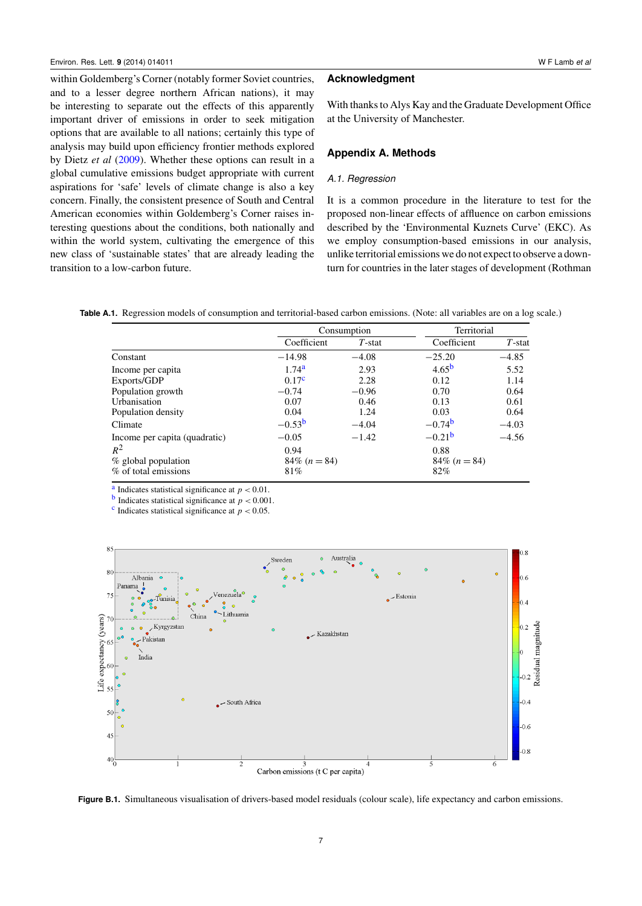within Goldemberg's Corner (notably former Soviet countries, and to a lesser degree northern African nations), it may be interesting to separate out the effects of this apparently important driver of emissions in order to seek mitigation options that are available to all nations; certainly this type of analysis may build upon efficiency frontier methods explored by Dietz *et al* [\(2009\)](#page-9-4). Whether these options can result in a global cumulative emissions budget appropriate with current aspirations for 'safe' levels of climate change is also a key concern. Finally, the consistent presence of South and Central American economies within Goldemberg's Corner raises interesting questions about the conditions, both nationally and within the world system, cultivating the emergence of this new class of 'sustainable states' that are already leading the transition to a low-carbon future.

## **Acknowledgment**

With thanks to Alys Kay and the Graduate Development Office at the University of Manchester.

#### <span id="page-7-0"></span>**Appendix A. Methods**

### *A.1. Regression*

<span id="page-7-5"></span><span id="page-7-4"></span><span id="page-7-3"></span><span id="page-7-2"></span>It is a common procedure in the literature to test for the proposed non-linear effects of affluence on carbon emissions described by the 'Environmental Kuznets Curve' (EKC). As we employ consumption-based emissions in our analysis, unlike territorial emissions we do not expect to observe a downturn for countries in the later stages of development (Rothman

**Table A.1.** Regression models of consumption and territorial-based carbon emissions. (Note: all variables are on a log scale.)

|                               |                   | Consumption | Territorial          |           |  |
|-------------------------------|-------------------|-------------|----------------------|-----------|--|
|                               | Coefficient       | $T$ -stat   | Coefficient          | $T$ -stat |  |
| Constant                      | $-14.98$          | $-4.08$     | $-25.20$             | $-4.85$   |  |
| Income per capita             | 1.74 <sup>a</sup> | 2.93        | 4.65 <sup>b</sup>    | 5.52      |  |
| Exports/GDP                   | 0.17 <sup>c</sup> | 2.28        | 0.12                 | 1.14      |  |
| Population growth             | $-0.74$           | $-0.96$     | 0.70                 | 0.64      |  |
| Urbanisation                  | 0.07              | 0.46        | 0.13                 | 0.61      |  |
| Population density            | 0.04              | 1.24        | 0.03                 | 0.64      |  |
| Climate                       | $-0.53^{b}$       | $-4.04$     | $-0.74$ <sup>b</sup> | $-4.03$   |  |
| Income per capita (quadratic) | $-0.05$           | $-1.42$     | $-0.21b$             | $-4.56$   |  |
| $R^2$                         | 0.94              |             | 0.88                 |           |  |
| % global population           | $84\%$ (n = 84)   |             |                      |           |  |
| % of total emissions          | 81%               |             | 82%                  |           |  |

<sup>[a](#page-7-2)</sup> Indicates statistical significance at  $p < 0.01$ .

**[b](#page-7-3)** Indicates statistical significance at  $p < 0.001$ .

<sup>[c](#page-7-4)</sup> Indicates statistical significance at  $p < 0.05$ .

<span id="page-7-1"></span>

**Figure B.1.** Simultaneous visualisation of drivers-based model residuals (colour scale), life expectancy and carbon emissions.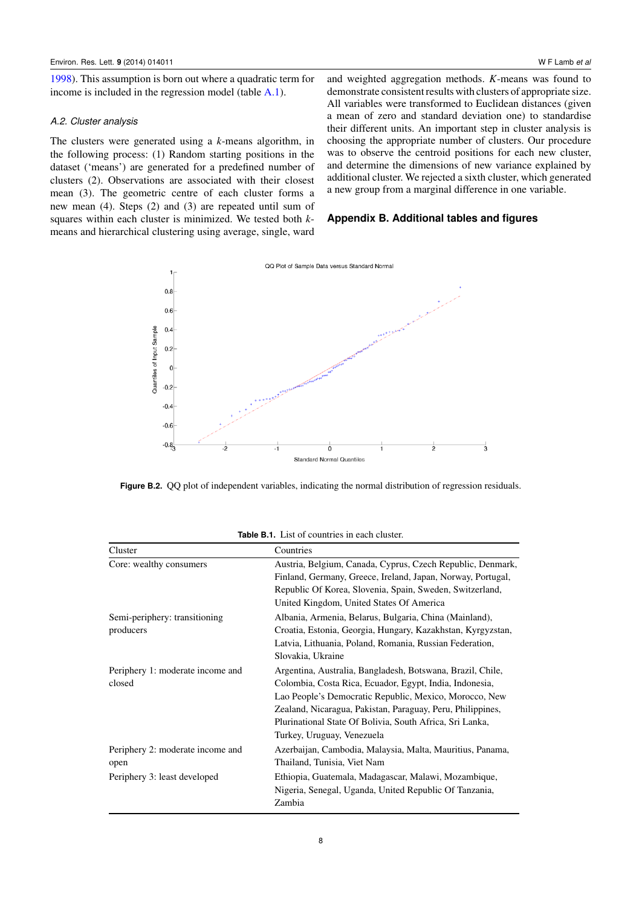[1998\)](#page-10-21). This assumption is born out where a quadratic term for income is included in the regression model (table [A.1\)](#page-7-5).

#### *A.2. Cluster analysis*

The clusters were generated using a *k*-means algorithm, in the following process: (1) Random starting positions in the dataset ('means') are generated for a predefined number of clusters (2). Observations are associated with their closest mean (3). The geometric centre of each cluster forms a new mean (4). Steps (2) and (3) are repeated until sum of squares within each cluster is minimized. We tested both *k*means and hierarchical clustering using average, single, ward

and weighted aggregation methods. *K*-means was found to demonstrate consistent results with clusters of appropriate size. All variables were transformed to Euclidean distances (given a mean of zero and standard deviation one) to standardise their different units. An important step in cluster analysis is choosing the appropriate number of clusters. Our procedure was to observe the centroid positions for each new cluster, and determine the dimensions of new variance explained by additional cluster. We rejected a sixth cluster, which generated a new group from a marginal difference in one variable.

## <span id="page-8-0"></span>**Appendix B. Additional tables and figures**



**Figure B.2.** QQ plot of independent variables, indicating the normal distribution of regression residuals.

|                                  | <b>Table B.1.</b> List of countries in each cluster.        |  |  |  |  |
|----------------------------------|-------------------------------------------------------------|--|--|--|--|
| Cluster                          | Countries                                                   |  |  |  |  |
| Core: wealthy consumers          | Austria, Belgium, Canada, Cyprus, Czech Republic, Denmark,  |  |  |  |  |
|                                  | Finland, Germany, Greece, Ireland, Japan, Norway, Portugal, |  |  |  |  |
|                                  | Republic Of Korea, Slovenia, Spain, Sweden, Switzerland,    |  |  |  |  |
|                                  | United Kingdom, United States Of America                    |  |  |  |  |
| Semi-periphery: transitioning    | Albania, Armenia, Belarus, Bulgaria, China (Mainland),      |  |  |  |  |
| producers                        | Croatia, Estonia, Georgia, Hungary, Kazakhstan, Kyrgyzstan, |  |  |  |  |
|                                  | Latvia, Lithuania, Poland, Romania, Russian Federation,     |  |  |  |  |
|                                  | Slovakia, Ukraine                                           |  |  |  |  |
| Periphery 1: moderate income and | Argentina, Australia, Bangladesh, Botswana, Brazil, Chile,  |  |  |  |  |
| closed                           | Colombia, Costa Rica, Ecuador, Egypt, India, Indonesia,     |  |  |  |  |
|                                  | Lao People's Democratic Republic, Mexico, Morocco, New      |  |  |  |  |
|                                  | Zealand, Nicaragua, Pakistan, Paraguay, Peru, Philippines,  |  |  |  |  |
|                                  | Plurinational State Of Bolivia, South Africa, Sri Lanka,    |  |  |  |  |
|                                  | Turkey, Uruguay, Venezuela                                  |  |  |  |  |
| Periphery 2: moderate income and | Azerbaijan, Cambodia, Malaysia, Malta, Mauritius, Panama,   |  |  |  |  |
| open                             | Thailand, Tunisia, Viet Nam                                 |  |  |  |  |
| Periphery 3: least developed     | Ethiopia, Guatemala, Madagascar, Malawi, Mozambique,        |  |  |  |  |
|                                  | Nigeria, Senegal, Uganda, United Republic Of Tanzania,      |  |  |  |  |
|                                  | Zambia                                                      |  |  |  |  |

**Table B.1.** List of countries in each cluster.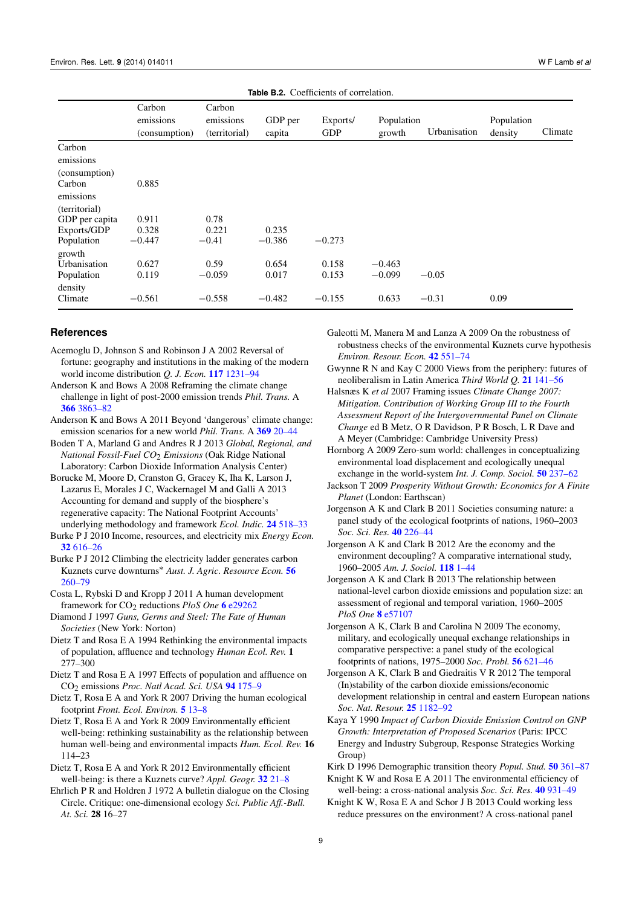| <b>Table B.2.</b> Coefficients of correlation.               |                                      |                                      |                            |                            |                               |                    |                       |         |
|--------------------------------------------------------------|--------------------------------------|--------------------------------------|----------------------------|----------------------------|-------------------------------|--------------------|-----------------------|---------|
|                                                              | Carbon<br>emissions<br>(consumption) | Carbon<br>emissions<br>(territorial) | GDP per<br>capita          | Exports/<br><b>GDP</b>     | Population<br>growth          | Urbanisation       | Population<br>density | Climate |
| Carbon<br>emissions<br>(consumption)<br>Carbon<br>emissions  | 0.885                                |                                      |                            |                            |                               |                    |                       |         |
| (territorial)<br>GDP per capita<br>Exports/GDP<br>Population | 0.911<br>0.328<br>$-0.447$           | 0.78<br>0.221<br>$-0.41$             | 0.235<br>$-0.386$          | $-0.273$                   |                               |                    |                       |         |
| growth<br>Urbanisation<br>Population<br>density<br>Climate   | 0.627<br>0.119<br>$-0.561$           | 0.59<br>$-0.059$<br>$-0.558$         | 0.654<br>0.017<br>$-0.482$ | 0.158<br>0.153<br>$-0.155$ | $-0.463$<br>$-0.099$<br>0.633 | $-0.05$<br>$-0.31$ | 0.09                  |         |

#### **References**

- <span id="page-9-23"></span>Acemoglu D, Johnson S and Robinson J A 2002 Reversal of fortune: geography and institutions in the making of the modern world income distribution *Q. J. Econ.* [117](http://dx.doi.org/10.1162/003355302320935025) [1231–94](http://dx.doi.org/10.1162/003355302320935025)
- <span id="page-9-0"></span>Anderson K and Bows A 2008 Reframing the climate change challenge in light of post-2000 emission trends *Phil. Trans.* A [366](http://dx.doi.org/10.1098/rsta.2008.0138) [3863–82](http://dx.doi.org/10.1098/rsta.2008.0138)
- Anderson K and Bows A 2011 Beyond 'dangerous' climate change: emission scenarios for a new world *Phil. Trans.* A [369](http://dx.doi.org/10.1098/rsta.2010.0290) [20–44](http://dx.doi.org/10.1098/rsta.2010.0290)
- <span id="page-9-16"></span>Boden T A, Marland G and Andres R J 2013 *Global, Regional, and National Fossil-Fuel CO*2 *Emissions* (Oak Ridge National Laboratory: Carbon Dioxide Information Analysis Center)
- <span id="page-9-15"></span>Borucke M, Moore D, Cranston G, Gracey K, Iha K, Larson J, Lazarus E, Morales J C, Wackernagel M and Galli A 2013 Accounting for demand and supply of the biosphere's regenerative capacity: The National Footprint Accounts' underlying methodology and framework *Ecol. Indic.* [24](http://dx.doi.org/10.1016/j.ecolind.2012.08.005) [518–33](http://dx.doi.org/10.1016/j.ecolind.2012.08.005)
- <span id="page-9-24"></span>Burke P J 2010 Income, resources, and electricity mix *Energy Econ.* [32](http://dx.doi.org/10.1016/j.eneco.2010.01.012) [616–26](http://dx.doi.org/10.1016/j.eneco.2010.01.012)
- <span id="page-9-25"></span>Burke P J 2012 Climbing the electricity ladder generates carbon Kuznets curve downturns<sup>∗</sup> *Aust. J. Agric. Resource Econ.* [56](http://dx.doi.org/10.1111/j.1467-8489.2011.00572.x) [260–79](http://dx.doi.org/10.1111/j.1467-8489.2011.00572.x)
- <span id="page-9-27"></span>Costa L, Rybski D and Kropp J 2011 A human development framework for CO2 reductions *PloS One* [6](http://dx.doi.org/10.1371/journal.pone.0029262) [e29262](http://dx.doi.org/10.1371/journal.pone.0029262)

<span id="page-9-22"></span>Diamond J 1997 *Guns, Germs and Steel: The Fate of Human Societies* (New York: Norton)

- <span id="page-9-19"></span>Dietz T and Rosa E A 1994 Rethinking the environmental impacts of population, affluence and technology *Human Ecol. Rev.* 1 277–300
- <span id="page-9-17"></span>Dietz T and Rosa E A 1997 Effects of population and affluence on CO2 emissions *Proc. Natl Acad. Sci. USA* [94](http://dx.doi.org/10.1073/pnas.94.1.175) [175–9](http://dx.doi.org/10.1073/pnas.94.1.175)

<span id="page-9-3"></span>Dietz T, Rosa E A and York R 2007 Driving the human ecological footprint *Front. Ecol. Environ.* [5](http://dx.doi.org/10.1890/1540-9295(2007)5[13:DTHEF]2.0.CO;2) [13–8](http://dx.doi.org/10.1890/1540-9295(2007)5[13:DTHEF]2.0.CO;2)

- <span id="page-9-4"></span>Dietz T, Rosa E A and York R 2009 Environmentally efficient well-being: rethinking sustainability as the relationship between human well-being and environmental impacts *Hum. Ecol. Rev.* 16 114–23
- <span id="page-9-5"></span>Dietz T, Rosa E A and York R 2012 Environmentally efficient well-being: is there a Kuznets curve? *Appl. Geogr.* [32](http://dx.doi.org/10.1016/j.apgeog.2010.10.011) [21–8](http://dx.doi.org/10.1016/j.apgeog.2010.10.011)
- <span id="page-9-9"></span>Ehrlich P R and Holdren J 1972 A bulletin dialogue on the Closing Circle. Critique: one-dimensional ecology *Sci. Public Aff.-Bull. At. Sci.* 28 16–27

<span id="page-9-18"></span>Galeotti M, Manera M and Lanza A 2009 On the robustness of robustness checks of the environmental Kuznets curve hypothesis *Environ. Resour. Econ.* [42](http://dx.doi.org/10.1007/s10640-008-9224-x) [551–74](http://dx.doi.org/10.1007/s10640-008-9224-x)

<span id="page-9-21"></span>Gwynne R N and Kay C 2000 Views from the periphery: futures of neoliberalism in Latin America *Third World Q.* [21](http://dx.doi.org/10.1080/01436590013279) [141–56](http://dx.doi.org/10.1080/01436590013279)

- <span id="page-9-1"></span>Halsnæs K *et al* 2007 Framing issues *Climate Change 2007: Mitigation. Contribution of Working Group III to the Fourth Assessment Report of the Intergovernmental Panel on Climate Change* ed B Metz, O R Davidson, P R Bosch, L R Dave and A Meyer (Cambridge: Cambridge University Press)
- <span id="page-9-26"></span>Hornborg A 2009 Zero-sum world: challenges in conceptualizing environmental load displacement and ecologically unequal exchange in the world-system *Int. J. Comp. Sociol.* [50](http://dx.doi.org/10.1177/0020715209105141) [237–62](http://dx.doi.org/10.1177/0020715209105141)
- <span id="page-9-2"></span>Jackson T 2009 *Prosperity Without Growth: Economics for A Finite Planet* (London: Earthscan)
- <span id="page-9-11"></span>Jorgenson A K and Clark B 2011 Societies consuming nature: a panel study of the ecological footprints of nations, 1960–2003 *Soc. Sci. Res.* [40](http://dx.doi.org/10.1016/j.ssresearch.2010.09.004) [226–44](http://dx.doi.org/10.1016/j.ssresearch.2010.09.004)
- <span id="page-9-12"></span>Jorgenson A K and Clark B 2012 Are the economy and the environment decoupling? A comparative international study, 1960–2005 *Am. J. Sociol.* [118](http://dx.doi.org/10.1086/665990) [1–44](http://dx.doi.org/10.1086/665990)
- <span id="page-9-14"></span>Jorgenson A K and Clark B 2013 The relationship between national-level carbon dioxide emissions and population size: an assessment of regional and temporal variation, 1960–2005 *PloS One* [8](http://dx.doi.org/10.1371/journal.pone.0057107) [e57107](http://dx.doi.org/10.1371/journal.pone.0057107)
- <span id="page-9-10"></span>Jorgenson A K, Clark B and Carolina N 2009 The economy, military, and ecologically unequal exchange relationships in comparative perspective: a panel study of the ecological footprints of nations, 1975–2000 *Soc. Probl.* [56](http://dx.doi.org/10.1525/sp.2009.56.4.621) [621–46](http://dx.doi.org/10.1525/sp.2009.56.4.621)
- <span id="page-9-13"></span>Jorgenson A K, Clark B and Giedraitis V R 2012 The temporal (In)stability of the carbon dioxide emissions/economic development relationship in central and eastern European nations *Soc. Nat. Resour.* [25](http://dx.doi.org/10.1080/08941920.2012.656186) [1182–92](http://dx.doi.org/10.1080/08941920.2012.656186)
- <span id="page-9-8"></span>Kaya Y 1990 *Impact of Carbon Dioxide Emission Control on GNP Growth: Interpretation of Proposed Scenarios* (Paris: IPCC Energy and Industry Subgroup, Response Strategies Working Group)
- <span id="page-9-20"></span>Kirk D 1996 Demographic transition theory *Popul. Stud.* [50](http://dx.doi.org/10.1080/0032472031000149536) [361–87](http://dx.doi.org/10.1080/0032472031000149536)

<span id="page-9-6"></span>Knight K W and Rosa E A 2011 The environmental efficiency of well-being: a cross-national analysis *Soc. Sci. Res.* [40](http://dx.doi.org/10.1016/j.ssresearch.2010.11.002) [931–49](http://dx.doi.org/10.1016/j.ssresearch.2010.11.002)

<span id="page-9-7"></span>Knight K W, Rosa E A and Schor J B 2013 Could working less reduce pressures on the environment? A cross-national panel